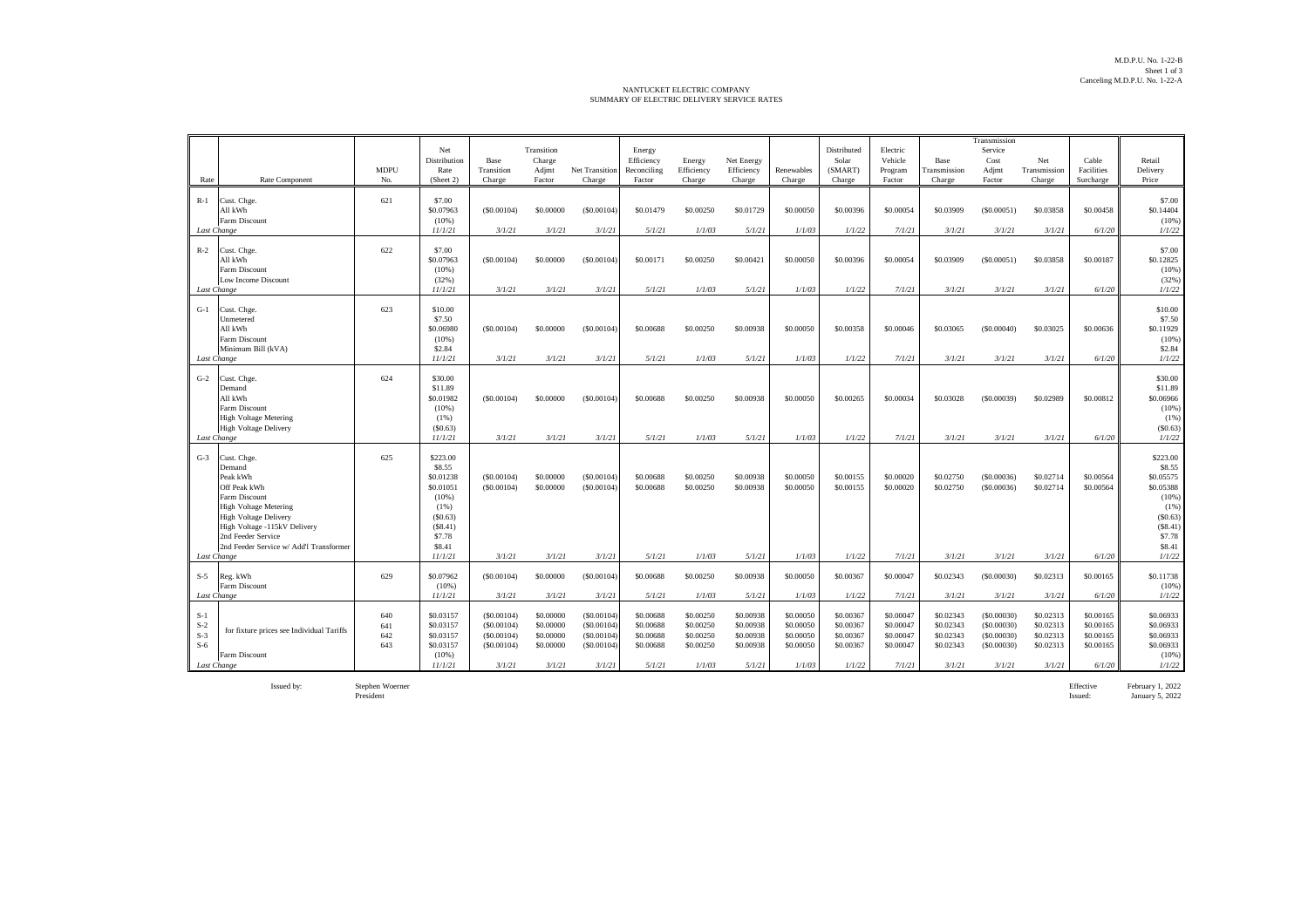## NANTUCKET ELECTRIC COMPANY SUMMARY OF ELECTRIC DELIVERY SERVICE RATES

|                                  |                                                                                                                                                                                                                                                    | <b>MDPU</b>              | Net<br>Distribution<br>Rate                                                                                       | Base<br>Transition                                             | Transition<br>Charge<br>Adjmt                              | Net Transition                                                 | Energy<br>Efficiency<br>Reconciling                        | Energy<br>Efficiency                                       | Net Energy<br>Efficiency                                   | Renewables                                                 | Distributed<br>Solar<br>(SMART)                            | Electric<br>Vehicle<br>Program                             | Base<br>Transmission                                       | Transmission<br>Service<br>Cost<br>Adjmt                       | Net<br>Transmission                                        | Cable<br>Facilities                                        | Retail<br>Delivery                                                                                                   |
|----------------------------------|----------------------------------------------------------------------------------------------------------------------------------------------------------------------------------------------------------------------------------------------------|--------------------------|-------------------------------------------------------------------------------------------------------------------|----------------------------------------------------------------|------------------------------------------------------------|----------------------------------------------------------------|------------------------------------------------------------|------------------------------------------------------------|------------------------------------------------------------|------------------------------------------------------------|------------------------------------------------------------|------------------------------------------------------------|------------------------------------------------------------|----------------------------------------------------------------|------------------------------------------------------------|------------------------------------------------------------|----------------------------------------------------------------------------------------------------------------------|
| Rate                             | Rate Component                                                                                                                                                                                                                                     | No.                      | (Sheet 2)                                                                                                         | Charge                                                         | Factor                                                     | Charge                                                         | Factor                                                     | Charge                                                     | Charge                                                     | Charge                                                     | Charge                                                     | Factor                                                     | Charge                                                     | Factor                                                         | Charge                                                     | Surcharge                                                  | Price                                                                                                                |
| $R-1$                            | Cust. Chge.<br>All kWh<br>Farm Discount<br>Last Change                                                                                                                                                                                             | 621                      | \$7.00<br>\$0.07963<br>(10%<br>11/1/21                                                                            | (S0.00104)<br>3/1/21                                           | \$0,00000<br>3/1/21                                        | (S0.00104)<br>3/1/21                                           | \$0.01479<br>5/1/21                                        | \$0,00250<br>1/1/03                                        | \$0.01729<br>5/1/21                                        | \$0,00050<br>1/1/03                                        | \$0,00396<br>1/1/22                                        | \$0,00054<br>7/1/21                                        | \$0.03909<br>3/1/21                                        | (S0.00051)<br>3/1/21                                           | \$0.03858<br>3/1/21                                        | \$0,00458<br>6/1/20                                        | \$7.00<br>\$0.14404<br>(10%<br>1/1/22                                                                                |
| $R-2$                            | Cust. Chge.<br>All kWh<br>Farm Discount<br>Low Income Discount<br>Last Change                                                                                                                                                                      | 622                      | \$7.00<br>\$0.07963<br>(10%<br>(32%)<br>11/1/21                                                                   | (S0.00104)<br>3/1/21                                           | \$0,00000<br>3/1/21                                        | (S0.00104)<br>3/1/21                                           | \$0,00171<br>5/1/21                                        | \$0,00250<br>1/1/03                                        | \$0.00421<br>5/1/21                                        | \$0,00050<br>1/1/03                                        | \$0,00396<br>1/1/22                                        | \$0,00054<br>7/1/21                                        | \$0.03909<br>3/1/21                                        | (S0.00051)<br>3/1/21                                           | \$0.03858<br>3/1/21                                        | \$0,00187<br>6/1/20                                        | \$7.00<br>\$0.12825<br>(10%)<br>(32%)<br>1/1/22                                                                      |
| $G-1$                            | Cust. Chge.<br>Unmetered<br>All kWh<br>Farm Discount<br>Minimum Bill (kVA)<br>Last Change                                                                                                                                                          | 623                      | \$10.00<br>\$7.50<br>\$0,06980<br>(10%<br>\$2.84<br>11/1/21                                                       | (S0.00104)<br>3/1/21                                           | \$0,00000<br>3/1/21                                        | (S0.00104)<br>3/1/21                                           | \$0,00688<br>5/1/21                                        | \$0,00250<br>1/1/03                                        | \$0,00938<br>5/1/21                                        | \$0,00050<br>1/1/03                                        | \$0,00358<br>1/1/22                                        | \$0,00046<br>7/1/21                                        | \$0.03065<br>3/1/21                                        | (S0,00040)<br>3/1/21                                           | \$0.03025<br>3/1/21                                        | \$0,00636<br>6/1/20                                        | \$10.00<br>\$7.50<br>\$0.11929<br>(10%)<br>\$2.84<br>1/1/22                                                          |
| $G-2$                            | Cust. Chge.<br>Demand<br>All kWh<br>Farm Discount<br><b>High Voltage Metering</b><br><b>High Voltage Delivery</b><br>Last Change                                                                                                                   | 624                      | \$30.00<br>\$11.89<br>\$0.01982<br>(10%<br>$(1\%)$<br>(S0.63)<br>11/1/21                                          | (S0.00104)<br>3/1/21                                           | \$0,00000<br>3/1/21                                        | (S0.00104)<br>3/1/21                                           | \$0,00688<br>5/1/21                                        | \$0,00250<br>1/1/03                                        | \$0.00938<br>5/1/21                                        | \$0,00050<br>1/1/03                                        | \$0,00265<br>1/1/22                                        | \$0,00034<br>7/1/21                                        | \$0.03028<br>3/1/21                                        | (S0.00039)<br>3/1/21                                           | \$0.02989<br>3/1/21                                        | \$0,00812<br>6/1/20                                        | \$30.00<br>\$11.89<br>\$0.06966<br>(10%<br>$(1\%)$<br>(S0.63)<br>1/1/22                                              |
| $G-3$                            | Cust. Chge.<br>Demand<br>Peak kWh<br>Off Peak kWh<br>Farm Discount<br><b>High Voltage Metering</b><br><b>High Voltage Delivery</b><br>High Voltage -115kV Delivery<br>2nd Feeder Service<br>2nd Feeder Service w/ Add'l Transformer<br>Last Change | 625                      | \$223.00<br>\$8.55<br>\$0.01238<br>\$0.01051<br>(10%<br>(1%)<br>(S0.63)<br>(S8.41)<br>\$7.78<br>\$8.41<br>11/1/21 | (S0.00104)<br>(S0.00104)<br>3/1/21                             | \$0,00000<br>\$0,00000<br>3/1/21                           | (S0,00104)<br>(S0.00104)<br>3/1/21                             | \$0,00688<br>\$0,00688<br>5/1/21                           | \$0,00250<br>\$0,00250<br>1/1/03                           | \$0.00938<br>\$0.00938<br>5/1/21                           | \$0,00050<br>\$0,00050<br>1/1/03                           | \$0,00155<br>\$0,00155<br>1/1/22                           | \$0,00020<br>\$0,00020<br>7/1/21                           | \$0.02750<br>\$0.02750<br>3/1/21                           | (S0,00036)<br>(S0,00036)<br>3/1/21                             | \$0.02714<br>\$0.02714<br>3/1/21                           | \$0,00564<br>\$0,00564<br>6/1/20                           | \$223.00<br>\$8.55<br>\$0.05575<br>\$0.05388<br>(10%)<br>$(1\%)$<br>(S0.63)<br>(S8.41)<br>\$7.78<br>\$8.41<br>1/1/22 |
| $S-5$                            | Reg. kWh<br>Farm Discount<br>Last Change                                                                                                                                                                                                           | 629                      | \$0.07962<br>$(10\%)$<br>11/1/21                                                                                  | (S0.00104)<br>3/1/21                                           | \$0.00000<br>3/1/21                                        | (S0.00104)<br>3/1/21                                           | \$0,00688<br>5/1/21                                        | \$0.00250<br>1/1/03                                        | \$0.00938<br>5/1/21                                        | \$0,00050<br>1/1/03                                        | \$0,00367<br>1/1/22                                        | \$0,00047<br>7/1/21                                        | \$0.02343<br>3/1/21                                        | (S0.00030)<br>3/1/21                                           | \$0.02313<br>3/1/21                                        | \$0.00165<br>6/1/20                                        | \$0.11738<br>(10%)<br>1/1/22                                                                                         |
| $S-1$<br>$S-2$<br>$S-3$<br>$S-6$ | for fixture prices see Individual Tariffs<br>Farm Discount<br>Last Change                                                                                                                                                                          | 640<br>641<br>642<br>643 | \$0.03157<br>\$0.03157<br>\$0.03157<br>\$0.03157<br>$(10\%)$<br>11/1/21                                           | (S0.00104)<br>(S0.00104)<br>(S0.00104)<br>(S0.00104)<br>3/1/21 | \$0,00000<br>\$0,00000<br>\$0.00000<br>\$0.00000<br>3/1/21 | (S0.00104)<br>(S0.00104)<br>(S0.00104)<br>(S0.00104)<br>3/1/21 | \$0,00688<br>\$0,00688<br>\$0.00688<br>\$0.00688<br>5/1/21 | \$0,00250<br>\$0,00250<br>\$0.00250<br>\$0.00250<br>1/1/03 | \$0,00938<br>\$0.00938<br>\$0.00938<br>\$0.00938<br>5/1/21 | \$0,00050<br>\$0,00050<br>\$0.00050<br>\$0.00050<br>1/1/03 | \$0,00367<br>\$0,00367<br>\$0.00367<br>\$0.00367<br>1/1/22 | \$0,00047<br>\$0,00047<br>\$0.00047<br>\$0.00047<br>7/1/21 | \$0.02343<br>\$0.02343<br>\$0.02343<br>\$0.02343<br>3/1/21 | (S0.00030)<br>(S0.00030)<br>(S0.00030)<br>(S0.00030)<br>3/1/21 | \$0.02313<br>\$0.02313<br>\$0.02313<br>\$0.02313<br>3/1/21 | \$0,00165<br>\$0,00165<br>\$0.00165<br>\$0.00165<br>6/1/20 | \$0,06933<br>\$0.06933<br>\$0.06933<br>\$0.06933<br>(10%)<br>1/1/22                                                  |

Issued by: Stephen Woerner Effective February 1, 2022 President Issued: January 5, 2022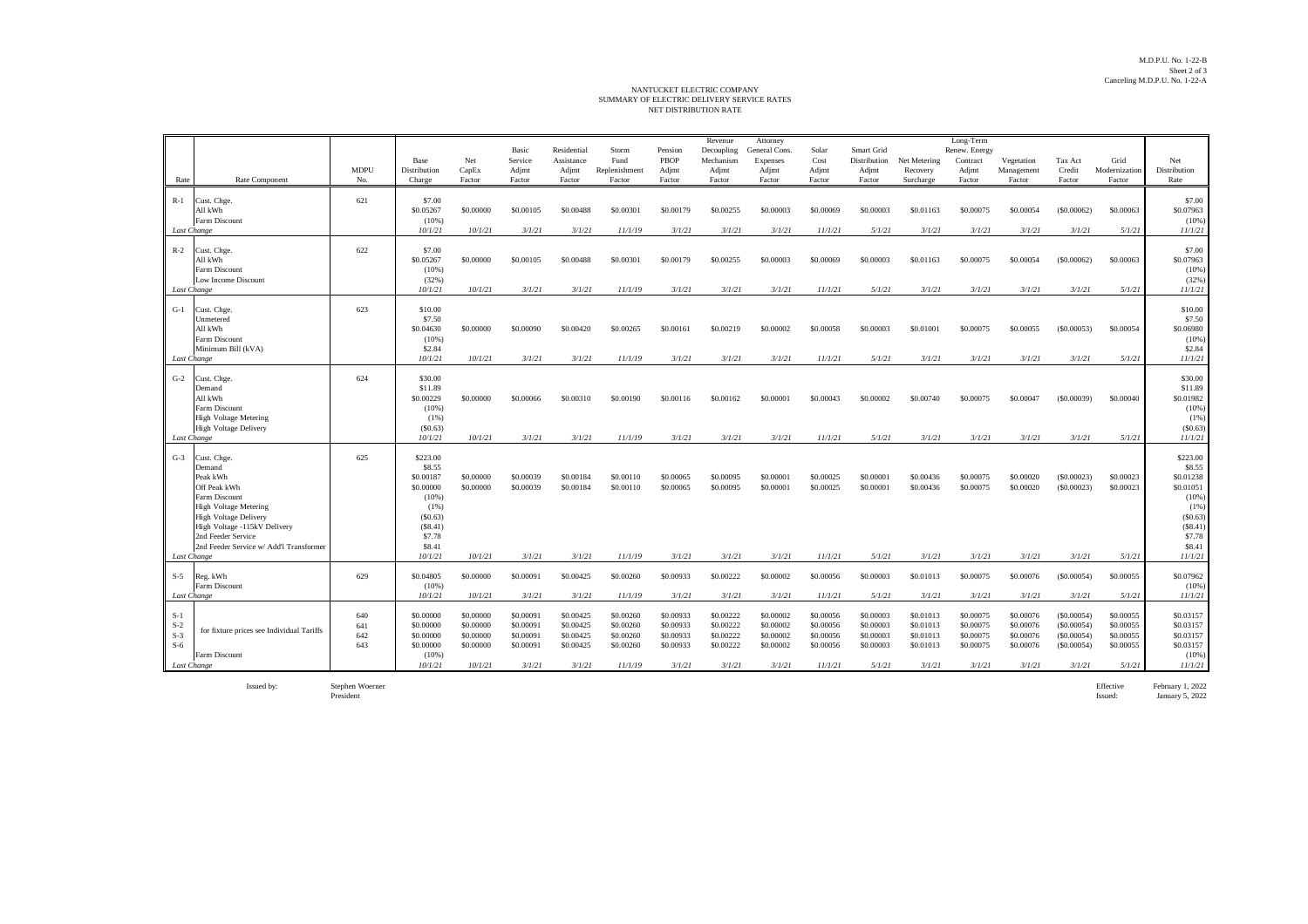## NET DISTRIBUTION RATE NANTUCKET ELECTRIC COMPANY<br>SUMMARY OF ELECTRIC DELIVERY SERVICE RATES

|                                                                                                                                                                                                                                                             | <b>MDPU</b>              | Base<br>Distribution                                                                                               | Net<br>CapEx                                                | Basic<br>Service<br>Adjmt                                  | Residential<br>Assistance<br>Adjmt                         | Storm<br>Fund<br>Replenishment                              | Pension<br>PBOP<br>Adjmt                                   | Revenue<br>Decoupling<br>Mechanism<br>Adjmt                | Attorney<br>General Cons.<br>Expenses<br>Adjmt             | Solar<br>Cost<br>Adjmt                                      | Smart Grid<br>Distribution<br>Adjmt                        | Net Metering<br>Recovery                                   | Long-Term<br>Renew. Energy<br>Contract<br>Adjmt            | Vegetation<br>Management                                   | Tax Act<br>Credit                                               | Grid<br>Modernization                                      | Net<br>Distribution                                                                                                      |
|-------------------------------------------------------------------------------------------------------------------------------------------------------------------------------------------------------------------------------------------------------------|--------------------------|--------------------------------------------------------------------------------------------------------------------|-------------------------------------------------------------|------------------------------------------------------------|------------------------------------------------------------|-------------------------------------------------------------|------------------------------------------------------------|------------------------------------------------------------|------------------------------------------------------------|-------------------------------------------------------------|------------------------------------------------------------|------------------------------------------------------------|------------------------------------------------------------|------------------------------------------------------------|-----------------------------------------------------------------|------------------------------------------------------------|--------------------------------------------------------------------------------------------------------------------------|
| Rate Component<br>Rate                                                                                                                                                                                                                                      | No.                      | Charge                                                                                                             | Factor                                                      | Factor                                                     | Factor                                                     | Factor                                                      | Factor                                                     | Factor                                                     | Factor                                                     | Factor                                                      | Factor                                                     | Surcharge                                                  | Factor                                                     | Factor                                                     | Factor                                                          | Factor                                                     | Rate                                                                                                                     |
| Cust. Chge.<br>$R-1$<br>All kWh<br>Farm Discount<br>Last Change                                                                                                                                                                                             | 621                      | \$7.00<br>\$0.05267<br>(10%)<br>10/1/21                                                                            | \$0,00000<br>10/1/21                                        | \$0.00105<br>3/1/21                                        | \$0,00488<br>3/1/21                                        | \$0.00301<br>11/1/19                                        | \$0.00179<br>3/1/21                                        | \$0,00255<br>3/1/21                                        | \$0,00003<br>3/1/21                                        | \$0,00069<br>11/1/21                                        | \$0,00003<br>5/1/21                                        | \$0.01163<br>3/1/21                                        | \$0,00075<br>3/1/21                                        | \$0,00054<br>3/1/21                                        | (S0.00062)<br>3/1/21                                            | \$0.00063<br>5/1/21                                        | \$7.00<br>\$0.07963<br>(10%)<br>11/1/21                                                                                  |
| $R-2$<br>Cust. Chge.<br>All kWh<br>Farm Discount<br>Low Income Discount<br>Last Change                                                                                                                                                                      | 622                      | \$7.00<br>\$0.05267<br>(10%)<br>(32%)<br>10/1/21                                                                   | \$0,00000<br>10/1/21                                        | \$0,00105<br>3/1/21                                        | \$0,00488<br>3/1/21                                        | \$0,00301<br>11/1/19                                        | \$0,00179<br>3/1/21                                        | \$0,00255<br>3/1/21                                        | \$0,00003<br>3/1/21                                        | \$0,00069<br>11/1/21                                        | \$0,00003<br>5/1/21                                        | \$0.01163<br>3/1/21                                        | \$0,00075<br>3/1/21                                        | \$0,00054<br>3/1/21                                        | (S0,00062)<br>3/1/21                                            | \$0.00063<br>5/1/21                                        | \$7.00<br>\$0.07963<br>(10%<br>(32%)<br>11/1/21                                                                          |
| $G-1$<br>Cust. Chge.<br>Unmetered<br>All kWh<br>Farm Discount<br>Minimum Bill (kVA)<br>Last Change                                                                                                                                                          | 623                      | \$10.00<br>\$7.50<br>\$0.04630<br>(10%)<br>\$2.84<br>10/1/21                                                       | \$0,00000<br>10/1/21                                        | \$0,00090<br>3/1/21                                        | \$0,00420<br>3/1/21                                        | \$0,00265<br>11/1/19                                        | \$0.00161<br>3/1/21                                        | \$0.00219<br>3/1/21                                        | \$0,00002<br>3/1/21                                        | \$0,00058<br>11/1/21                                        | \$0,00003<br>5/1/21                                        | \$0,01001<br>3/1/21                                        | \$0,00075<br>3/1/21                                        | \$0,00055<br>3/1/21                                        | (S0.00053)<br>3/1/21                                            | \$0.00054<br>5/1/21                                        | \$10.00<br>\$7.50<br>\$0.06980<br>(10%<br>\$2.84<br>11/1/21                                                              |
| $G-2$<br>Cust. Chge.<br>Demand<br>All kWh<br>Farm Discount<br><b>High Voltage Metering</b><br>High Voltage Delivery<br>Last Change                                                                                                                          | 624                      | \$30.00<br>\$11.89<br>\$0.00229<br>(10%)<br>$(1\%)$<br>(S0.63)<br>10/1/21                                          | \$0,00000<br>10/1/21                                        | \$0,00066<br>3/1/21                                        | \$0,00310<br>3/1/21                                        | \$0,00190<br>11/1/19                                        | \$0,00116<br>3/1/21                                        | \$0,00162<br>3/1/21                                        | \$0,00001<br>3/1/21                                        | \$0,00043<br>11/1/21                                        | \$0,00002<br>5/1/21                                        | \$0,00740<br>3/1/21                                        | \$0,00075<br>3/1/21                                        | \$0,00047<br>3/1/21                                        | (S0.00039)<br>3/1/21                                            | \$0,00040<br>5/1/21                                        | \$30.00<br>\$11.89<br>\$0.01982<br>(10%)<br>(1%)<br>(S0.63)<br>11/1/21                                                   |
| $G-3$<br>Cust. Chge.<br>Demand<br>Peak kWh<br>Off Peak kWh<br>Farm Discount<br><b>High Voltage Metering</b><br><b>High Voltage Delivery</b><br>High Voltage -115kV Delivery<br>2nd Feeder Service<br>2nd Feeder Service w/ Add'l Transformer<br>Last Change | 625                      | \$223.00<br>\$8.55<br>\$0.00187<br>\$0,00000<br>(10%)<br>(1%)<br>(S0.63)<br>(S8.41)<br>\$7.78<br>\$8.41<br>10/1/21 | \$0,00000<br>\$0,00000<br>10/1/21                           | \$0.00039<br>\$0,00039<br>3/1/21                           | \$0.00184<br>\$0.00184<br>3/1/21                           | \$0.00110<br>\$0.00110<br>11/1/19                           | \$0.00065<br>\$0,00065<br>3/1/21                           | \$0.00095<br>\$0,00095<br>3/1/21                           | \$0,00001<br>\$0,00001<br>3/1/21                           | \$0,00025<br>\$0,00025<br>11/1/21                           | \$0,00001<br>\$0,00001<br>5/1/21                           | \$0.00436<br>\$0,00436<br>3/1/21                           | \$0.00075<br>\$0,00075<br>3/1/21                           | \$0,00020<br>\$0.00020<br>3/1/21                           | (S0.00023)<br>(S0.00023)<br>3/1/21                              | \$0.00023<br>\$0.00023<br>5/1/21                           | \$223.00<br>\$8.55<br>\$0.01238<br>\$0.01051<br>$(10\%)$<br>$(1\%)$<br>(S0.63)<br>(S8.41)<br>\$7.78<br>\$8.41<br>11/1/21 |
| $S-5$<br>Reg. kWh<br>Farm Discount<br>Last Change                                                                                                                                                                                                           | 629                      | \$0.04805<br>(10%)<br>10/1/21                                                                                      | \$0.00000<br>10/1/21                                        | \$0.00091<br>3/1/21                                        | \$0.00425<br>3/1/21                                        | \$0.00260<br>11/1/19                                        | \$0.00933<br>3/1/21                                        | \$0.00222<br>3/1/21                                        | \$0.00002<br>3/1/21                                        | \$0.00056<br>11/1/21                                        | \$0.00003<br>5/1/21                                        | \$0.01013<br>3/1/21                                        | \$0.00075<br>3/1/21                                        | \$0.00076<br>3/1/21                                        | (S0.00054)<br>3/1/21                                            | \$0.00055<br>5/1/21                                        | \$0.07962<br>(10%<br>11/1/21                                                                                             |
| $S-1$<br>$S-2$<br>for fixture prices see Individual Tariffs<br>$S-3$<br>$S-6$<br>Farm Discount<br>Last Change                                                                                                                                               | 640<br>641<br>642<br>643 | \$0,00000<br>\$0,00000<br>\$0.00000<br>\$0,00000<br>(10%)<br>10/1/21                                               | \$0,00000<br>\$0.00000<br>\$0.00000<br>\$0,00000<br>10/1/21 | \$0.00091<br>\$0.00091<br>\$0.00091<br>\$0,00091<br>3/1/21 | \$0.00425<br>\$0.00425<br>\$0.00425<br>\$0,00425<br>3/1/21 | \$0.00260<br>\$0.00260<br>\$0.00260<br>\$0,00260<br>11/1/19 | \$0.00933<br>\$0.00933<br>\$0.00933<br>\$0,00933<br>3/1/21 | \$0.00222<br>\$0.00222<br>\$0.00222<br>\$0,00222<br>3/1/21 | \$0.00002<br>\$0,00002<br>\$0.00002<br>\$0,00002<br>3/1/21 | \$0.00056<br>\$0.00056<br>\$0.00056<br>\$0,00056<br>11/1/21 | \$0,00003<br>\$0.00003<br>\$0.00003<br>\$0,00003<br>5/1/21 | \$0.01013<br>\$0.01013<br>\$0.01013<br>\$0.01013<br>3/1/21 | \$0.00075<br>\$0.00075<br>\$0.00075<br>\$0,00075<br>3/1/21 | \$0.00076<br>\$0.00076<br>\$0.00076<br>\$0,00076<br>3/1/21 | (S0.00054)<br>(S0.00054)<br>(\$0.00054)<br>(S0.00054)<br>3/1/21 | \$0.00055<br>\$0.00055<br>\$0.00055<br>\$0,00055<br>5/1/21 | \$0.03157<br>\$0.03157<br>\$0.03157<br>\$0.03157<br>(10%<br>11/1/21                                                      |

Issued by: Stephen Woerner President

Effective February 1, 2022 Issued: January 5, 2022